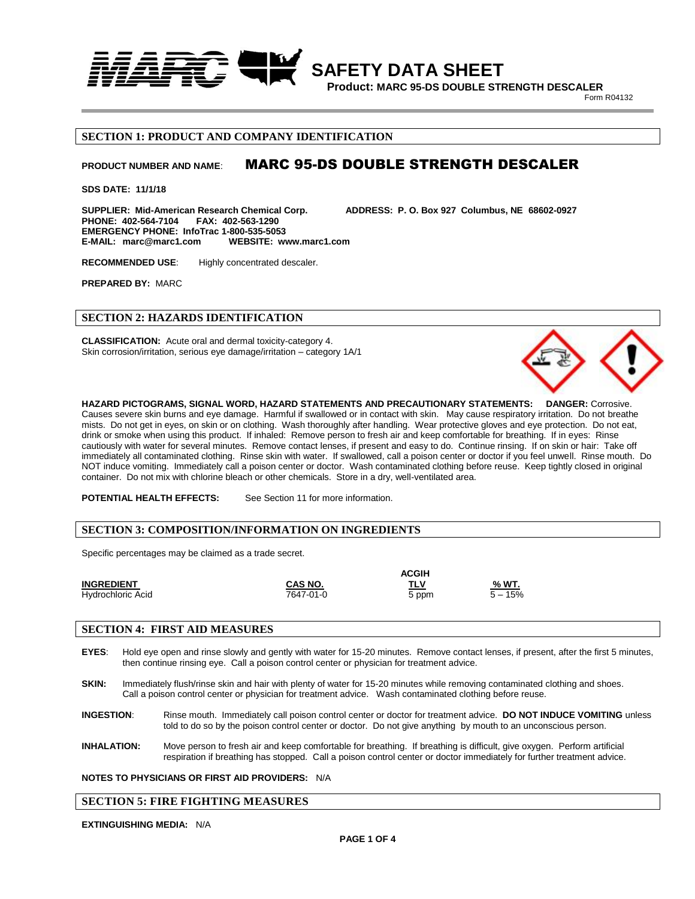

**Product: MARC 95-DS DOUBLE STRENGTH DESCALER**

**Form R04132** 

# **SECTION 1: PRODUCT AND COMPANY IDENTIFICATION**

# **PRODUCT NUMBER AND NAME**: MARC 95-DS DOUBLE STRENGTH DESCALER

**SDS DATE: 11/1/18**

**SUPPLIER: Mid-American Research Chemical Corp. ADDRESS: P. O. Box 927 Columbus, NE 68602-0927 PHONE: 402-564-7104 EMERGENCY PHONE: InfoTrac 1-800-535-5053 E-MAIL: marc@marc1.com WEBSITE: www.marc1.com**

**RECOMMENDED USE**: Highly concentrated descaler.

**PREPARED BY:** MARC

#### **SECTION 2: HAZARDS IDENTIFICATION**

**CLASSIFICATION:** Acute oral and dermal toxicity-category 4. Skin corrosion/irritation, serious eye damage/irritation – category 1A/1

**HAZARD PICTOGRAMS, SIGNAL WORD, HAZARD STATEMENTS AND PRECAUTIONARY STATEMENTS: DANGER:** Corrosive. Causes severe skin burns and eye damage. Harmful if swallowed or in contact with skin. May cause respiratory irritation. Do not breathe mists. Do not get in eyes, on skin or on clothing. Wash thoroughly after handling. Wear protective gloves and eye protection. Do not eat, drink or smoke when using this product. If inhaled: Remove person to fresh air and keep comfortable for breathing. If in eyes: Rinse cautiously with water for several minutes. Remove contact lenses, if present and easy to do. Continue rinsing. If on skin or hair: Take off immediately all contaminated clothing. Rinse skin with water. If swallowed, call a poison center or doctor if you feel unwell. Rinse mouth. Do NOT induce vomiting. Immediately call a poison center or doctor. Wash contaminated clothing before reuse. Keep tightly closed in original container. Do not mix with chlorine bleach or other chemicals. Store in a dry, well-ventilated area.

**POTENTIAL HEALTH EFFECTS:** See Section 11 for more information.

#### **SECTION 3: COMPOSITION/INFORMATION ON INGREDIENTS**

Specific percentages may be claimed as a trade secret.

|                   | <b>ACGIH</b>   |       |           |
|-------------------|----------------|-------|-----------|
| <b>INGREDIENT</b> | <b>CAS NO.</b> | TLV   | % WT.     |
| Hydrochloric Acid | 7647-01-0      | 5 ppm | $5 - 15%$ |

#### **SECTION 4: FIRST AID MEASURES**

- **EYES**: Hold eye open and rinse slowly and gently with water for 15-20 minutes. Remove contact lenses, if present, after the first 5 minutes, then continue rinsing eye. Call a poison control center or physician for treatment advice.
- **SKIN:** Immediately flush/rinse skin and hair with plenty of water for 15-20 minutes while removing contaminated clothing and shoes. Call a poison control center or physician for treatment advice. Wash contaminated clothing before reuse.
- **INGESTION**: Rinse mouth. Immediately call poison control center or doctor for treatment advice. **DO NOT INDUCE VOMITING** unless told to do so by the poison control center or doctor. Do not give anything by mouth to an unconscious person.
- **INHALATION:** Move person to fresh air and keep comfortable for breathing. If breathing is difficult, give oxygen. Perform artificial respiration if breathing has stopped. Call a poison control center or doctor immediately for further treatment advice.

#### **NOTES TO PHYSICIANS OR FIRST AID PROVIDERS:** N/A

### **SECTION 5: FIRE FIGHTING MEASURES**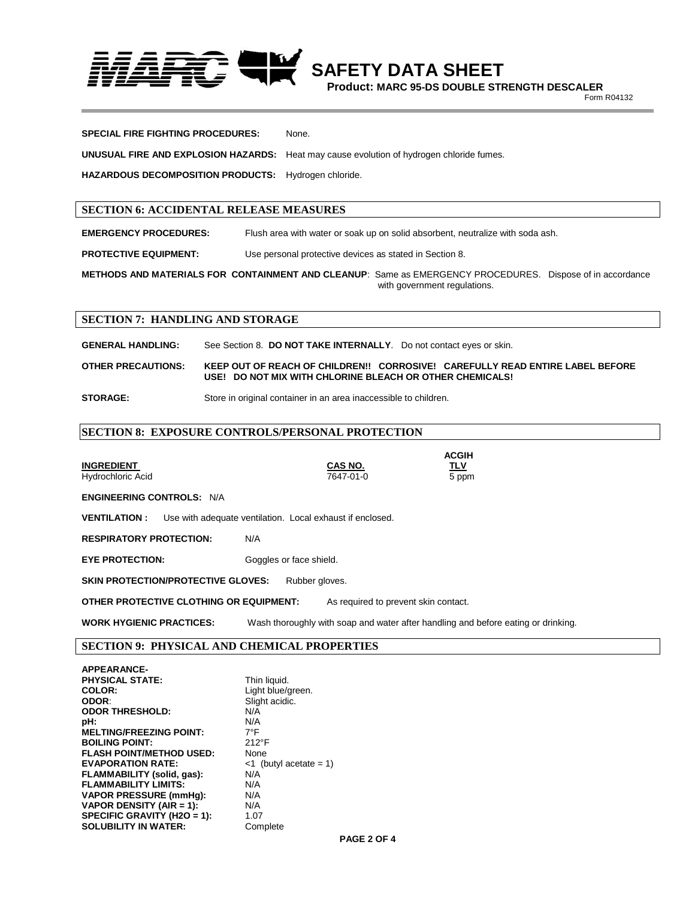

**Product: MARC 95-DS DOUBLE STRENGTH DESCALER**

**Form R04132** 

| <b>SPECIAL FIRE FIGHTING PROCEDURES:</b>             | None.                                                                                           |
|------------------------------------------------------|-------------------------------------------------------------------------------------------------|
|                                                      | <b>UNUSUAL FIRE AND EXPLOSION HAZARDS:</b> Heat may cause evolution of hydrogen chloride fumes. |
| HAZARDOUS DECOMPOSITION PRODUCTS: Hydrogen chloride. |                                                                                                 |

# **SECTION 6: ACCIDENTAL RELEASE MEASURES**

**EMERGENCY PROCEDURES:** Flush area with water or soak up on solid absorbent, neutralize with soda ash.

**PROTECTIVE EQUIPMENT:** Use personal protective devices as stated in Section 8.

**METHODS AND MATERIALS FOR CONTAINMENT AND CLEANUP**: Same as EMERGENCY PROCEDURES. Dispose of in accordance with government regulations.

# **SECTION 7: HANDLING AND STORAGE**

**GENERAL HANDLING:** See Section 8. **DO NOT TAKE INTERNALLY**. Do not contact eyes or skin.

**OTHER PRECAUTIONS: KEEP OUT OF REACH OF CHILDREN!! CORROSIVE! CAREFULLY READ ENTIRE LABEL BEFORE USE! DO NOT MIX WITH CHLORINE BLEACH OR OTHER CHEMICALS!**

**STORAGE:** Store in original container in an area inaccessible to children.

# **SECTION 8: EXPOSURE CONTROLS/PERSONAL PROTECTION**

|                                                                                  |                                                                                   | <b>ACGIH</b>        |  |  |
|----------------------------------------------------------------------------------|-----------------------------------------------------------------------------------|---------------------|--|--|
| <b>INGREDIENT</b><br>Hydrochloric Acid                                           | CAS NO.<br>7647-01-0                                                              | <u>TLV</u><br>5 ppm |  |  |
| <b>ENGINEERING CONTROLS: N/A</b>                                                 |                                                                                   |                     |  |  |
| Use with adequate ventilation. Local exhaust if enclosed.<br><b>VENTILATION:</b> |                                                                                   |                     |  |  |
| <b>RESPIRATORY PROTECTION:</b>                                                   | N/A                                                                               |                     |  |  |
| <b>EYE PROTECTION:</b>                                                           | Goggles or face shield.                                                           |                     |  |  |
| <b>SKIN PROTECTION/PROTECTIVE GLOVES:</b><br>Rubber gloves.                      |                                                                                   |                     |  |  |
| OTHER PROTECTIVE CLOTHING OR EQUIPMENT:<br>As required to prevent skin contact.  |                                                                                   |                     |  |  |
| <b>WORK HYGIENIC PRACTICES:</b>                                                  | Wash thoroughly with soap and water after handling and before eating or drinking. |                     |  |  |

# **SECTION 9: PHYSICAL AND CHEMICAL PROPERTIES**

| <b>APPEARANCE-</b>              |                           |
|---------------------------------|---------------------------|
| <b>PHYSICAL STATE:</b>          | Thin liquid.              |
| COLOR:                          | Light blue/green.         |
| ODOR:                           | Slight acidic.            |
| <b>ODOR THRESHOLD:</b>          | N/A                       |
| pH:                             | N/A                       |
| <b>MELTING/FREEZING POINT:</b>  | $7^{\circ}$ F             |
| <b>BOILING POINT:</b>           | $212^{\circ}F$            |
| <b>FLASH POINT/METHOD USED:</b> | None                      |
| <b>EVAPORATION RATE:</b>        | $<$ 1 (butyl acetate = 1) |
| FLAMMABILITY (solid, gas):      | N/A                       |
| <b>FLAMMABILITY LIMITS:</b>     | N/A                       |
| <b>VAPOR PRESSURE (mmHg):</b>   | N/A                       |
| VAPOR DENSITY (AIR = 1):        | N/A                       |
| SPECIFIC GRAVITY (H2O = 1):     | 1.07                      |
| <b>SOLUBILITY IN WATER:</b>     | Complete                  |
|                                 |                           |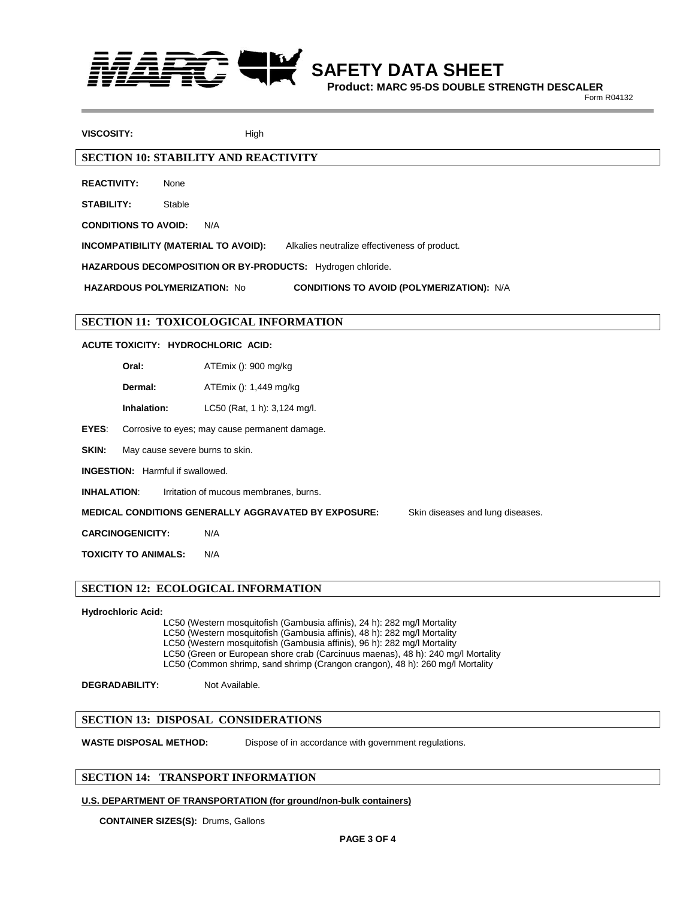

 **SAFETY DATA SHEET**

**Product: MARC 95-DS DOUBLE STRENGTH DESCALER**

**Form R04132** 

**VISCOSITY:** High

# **SECTION 10: STABILITY AND REACTIVITY**

**REACTIVITY:** None

**STABILITY:** Stable

**CONDITIONS TO AVOID:** N/A

**INCOMPATIBILITY (MATERIAL TO AVOID):** Alkalies neutralize effectiveness of product.

**HAZARDOUS DECOMPOSITION OR BY-PRODUCTS:** Hydrogen chloride.

**HAZARDOUS POLYMERIZATION:** No **CONDITIONS TO AVOID (POLYMERIZATION):** N/A

# **SECTION 11: TOXICOLOGICAL INFORMATION**

### **ACUTE TOXICITY: HYDROCHLORIC ACID:**

**Oral:** ATEmix (): 900 mg/kg

- **Dermal:** ATEmix (): 1,449 mg/kg
- **Inhalation:** LC50 (Rat, 1 h): 3,124 mg/l.

**EYES**: Corrosive to eyes; may cause permanent damage.

SKIN: May cause severe burns to skin.

**INGESTION:** Harmful if swallowed.

**INHALATION:** Irritation of mucous membranes, burns.

**MEDICAL CONDITIONS GENERALLY AGGRAVATED BY EXPOSURE:** Skin diseases and lung diseases.

**CARCINOGENICITY:** N/A

**TOXICITY TO ANIMALS:** N/A

# **SECTION 12: ECOLOGICAL INFORMATION**

#### **Hydrochloric Acid:**

LC50 (Western mosquitofish (Gambusia affinis), 24 h): 282 mg/l Mortality LC50 (Western mosquitofish (Gambusia affinis), 48 h): 282 mg/l Mortality LC50 (Western mosquitofish (Gambusia affinis), 96 h): 282 mg/l Mortality LC50 (Green or European shore crab (Carcinuus maenas), 48 h): 240 mg/l Mortality

LC50 (Common shrimp, sand shrimp (Crangon crangon), 48 h): 260 mg/l Mortality

**DEGRADABILITY:** Not Available.

#### **SECTION 13: DISPOSAL CONSIDERATIONS**

**WASTE DISPOSAL METHOD:** Dispose of in accordance with government regulations.

# **SECTION 14: TRANSPORT INFORMATION**

## **U.S. DEPARTMENT OF TRANSPORTATION (for ground/non-bulk containers)**

**CONTAINER SIZES(S):** Drums, Gallons